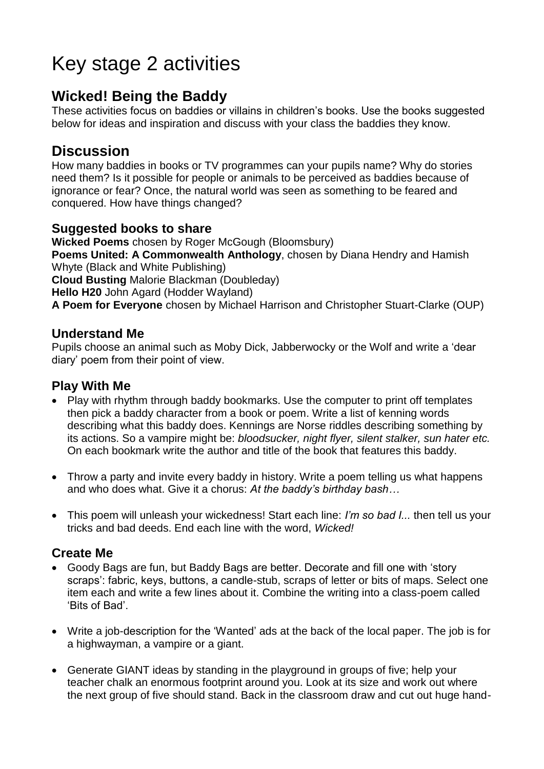# Key stage 2 activities

## **Wicked! Being the Baddy**

These activities focus on baddies or villains in children's books. Use the books suggested below for ideas and inspiration and discuss with your class the baddies they know.

## **Discussion**

How many baddies in books or TV programmes can your pupils name? Why do stories need them? Is it possible for people or animals to be perceived as baddies because of ignorance or fear? Once, the natural world was seen as something to be feared and conquered. How have things changed?

### **Suggested books to share**

**Wicked Poems** chosen by Roger McGough (Bloomsbury) **Poems United: A Commonwealth Anthology**, chosen by Diana Hendry and Hamish Whyte (Black and White Publishing) **Cloud Busting** Malorie Blackman (Doubleday) **Hello H20** John Agard (Hodder Wayland) **A Poem for Everyone** chosen by Michael Harrison and Christopher Stuart-Clarke (OUP)

### **Understand Me**

Pupils choose an animal such as Moby Dick, Jabberwocky or the Wolf and write a 'dear diary' poem from their point of view.

### **Play With Me**

- Play with rhythm through baddy bookmarks. Use the computer to print off templates then pick a baddy character from a book or poem. Write a list of kenning words describing what this baddy does. Kennings are Norse riddles describing something by its actions. So a vampire might be: *bloodsucker, night flyer, silent stalker, sun hater etc.*  On each bookmark write the author and title of the book that features this baddy.
- Throw a party and invite every baddy in history. Write a poem telling us what happens and who does what. Give it a chorus: *At the baddy's birthday bash…*
- This poem will unleash your wickedness! Start each line: *I'm so bad I...* then tell us your tricks and bad deeds. End each line with the word, *Wicked!*

### **Create Me**

- Goody Bags are fun, but Baddy Bags are better. Decorate and fill one with 'story scraps': fabric, keys, buttons, a candle-stub, scraps of letter or bits of maps. Select one item each and write a few lines about it. Combine the writing into a class-poem called 'Bits of Bad'.
- Write a job-description for the 'Wanted' ads at the back of the local paper. The job is for a highwayman, a vampire or a giant.
- Generate GIANT ideas by standing in the playground in groups of five; help your teacher chalk an enormous footprint around you. Look at its size and work out where the next group of five should stand. Back in the classroom draw and cut out huge hand-